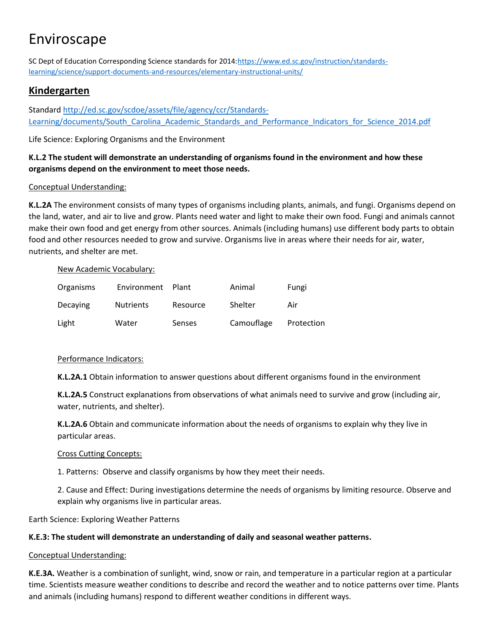SC Dept of Education Corresponding Science standards for 2014[:https://www.ed.sc.gov/instruction/standards](https://www.ed.sc.gov/instruction/standards-learning/science/support-documents-and-resources/elementary-instructional-units/)[learning/science/support-documents-and-resources/elementary-instructional-units/](https://www.ed.sc.gov/instruction/standards-learning/science/support-documents-and-resources/elementary-instructional-units/)

# **Kindergarten**

Standard [http://ed.sc.gov/scdoe/assets/file/agency/ccr/Standards-](http://ed.sc.gov/scdoe/assets/file/agency/ccr/Standards-Learning/documents/South_Carolina_Academic_Standards_and_Performance_Indicators_for_Science_2014.pdf)[Learning/documents/South\\_Carolina\\_Academic\\_Standards\\_and\\_Performance\\_Indicators\\_for\\_Science\\_2014.pdf](http://ed.sc.gov/scdoe/assets/file/agency/ccr/Standards-Learning/documents/South_Carolina_Academic_Standards_and_Performance_Indicators_for_Science_2014.pdf)

Life Science: Exploring Organisms and the Environment

## **K.L.2 The student will demonstrate an understanding of organisms found in the environment and how these organisms depend on the environment to meet those needs.**

## Conceptual Understanding:

**K.L.2A** The environment consists of many types of organisms including plants, animals, and fungi. Organisms depend on the land, water, and air to live and grow. Plants need water and light to make their own food. Fungi and animals cannot make their own food and get energy from other sources. Animals (including humans) use different body parts to obtain food and other resources needed to grow and survive. Organisms live in areas where their needs for air, water, nutrients, and shelter are met.

#### New Academic Vocabulary:

| Organisms | Environment Plant |          | Animal     | Fungi      |
|-----------|-------------------|----------|------------|------------|
| Decaying  | <b>Nutrients</b>  | Resource | Shelter    | Air        |
| Light     | Water             | Senses   | Camouflage | Protection |

## Performance Indicators:

**K.L.2A.1** Obtain information to answer questions about different organisms found in the environment

**K.L.2A.5** Construct explanations from observations of what animals need to survive and grow (including air, water, nutrients, and shelter).

**K.L.2A.6** Obtain and communicate information about the needs of organisms to explain why they live in particular areas.

## Cross Cutting Concepts:

1. Patterns: Observe and classify organisms by how they meet their needs.

2. Cause and Effect: During investigations determine the needs of organisms by limiting resource. Observe and explain why organisms live in particular areas.

Earth Science: Exploring Weather Patterns

## **K.E.3: The student will demonstrate an understanding of daily and seasonal weather patterns.**

#### Conceptual Understanding:

**K.E.3A.** Weather is a combination of sunlight, wind, snow or rain, and temperature in a particular region at a particular time. Scientists measure weather conditions to describe and record the weather and to notice patterns over time. Plants and animals (including humans) respond to different weather conditions in different ways.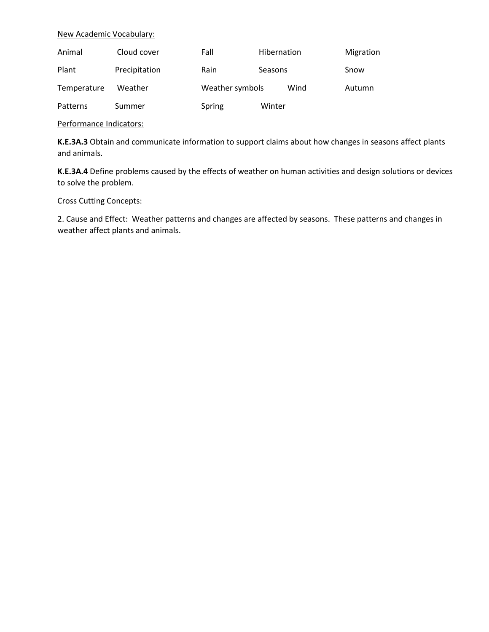#### New Academic Vocabulary:

| Animal      | Cloud cover   | Fall            | Hibernation | Migration |
|-------------|---------------|-----------------|-------------|-----------|
| Plant       | Precipitation | Rain            | Seasons     | Snow      |
| Temperature | Weather       | Weather symbols | Wind        | Autumn    |
| Patterns    | Summer        | Spring          | Winter      |           |

#### Performance Indicators:

**K.E.3A.3** Obtain and communicate information to support claims about how changes in seasons affect plants and animals.

**K.E.3A.4** Define problems caused by the effects of weather on human activities and design solutions or devices to solve the problem.

#### Cross Cutting Concepts:

2. Cause and Effect: Weather patterns and changes are affected by seasons. These patterns and changes in weather affect plants and animals.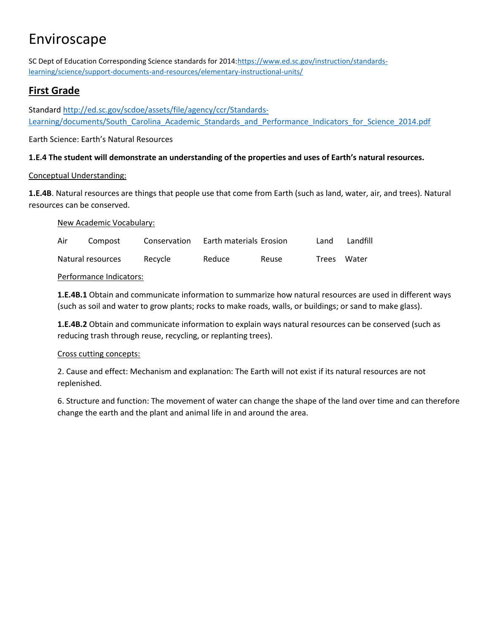SC Dept of Education Corresponding Science standards for 2014[:https://www.ed.sc.gov/instruction/standards](https://www.ed.sc.gov/instruction/standards-learning/science/support-documents-and-resources/elementary-instructional-units/)[learning/science/support-documents-and-resources/elementary-instructional-units/](https://www.ed.sc.gov/instruction/standards-learning/science/support-documents-and-resources/elementary-instructional-units/)

# **First Grade**

Standard [http://ed.sc.gov/scdoe/assets/file/agency/ccr/Standards-](http://ed.sc.gov/scdoe/assets/file/agency/ccr/Standards-Learning/documents/South_Carolina_Academic_Standards_and_Performance_Indicators_for_Science_2014.pdf)[Learning/documents/South\\_Carolina\\_Academic\\_Standards\\_and\\_Performance\\_Indicators\\_for\\_Science\\_2014.pdf](http://ed.sc.gov/scdoe/assets/file/agency/ccr/Standards-Learning/documents/South_Carolina_Academic_Standards_and_Performance_Indicators_for_Science_2014.pdf)

Earth Science: Earth's Natural Resources

## **1.E.4 The student will demonstrate an understanding of the properties and uses of Earth's natural resources.**

## Conceptual Understanding:

**1.E.4B**. Natural resources are things that people use that come from Earth (such as land, water, air, and trees). Natural resources can be conserved.

New Academic Vocabulary:

| Air | Compost           | Conservation | Earth materials Erosion |       | Land | Landfill    |
|-----|-------------------|--------------|-------------------------|-------|------|-------------|
|     | Natural resources | Recycle      | Reduce                  | Reuse |      | Trees Water |

## Performance Indicators:

**1.E.4B.1** Obtain and communicate information to summarize how natural resources are used in different ways (such as soil and water to grow plants; rocks to make roads, walls, or buildings; or sand to make glass).

**1.E.4B.2** Obtain and communicate information to explain ways natural resources can be conserved (such as reducing trash through reuse, recycling, or replanting trees).

## Cross cutting concepts:

2. Cause and effect: Mechanism and explanation: The Earth will not exist if its natural resources are not replenished.

6. Structure and function: The movement of water can change the shape of the land over time and can therefore change the earth and the plant and animal life in and around the area.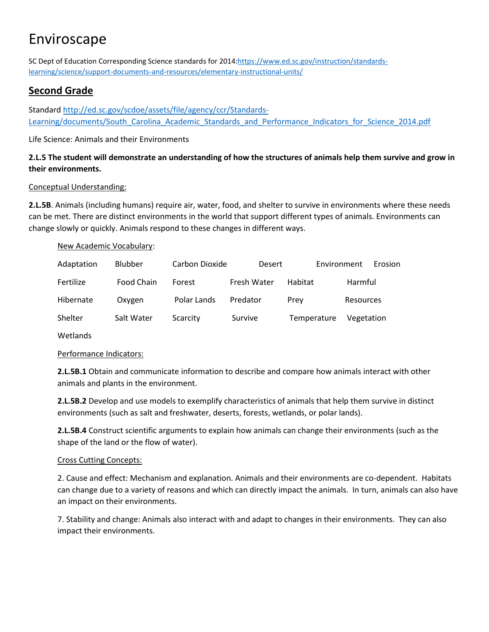SC Dept of Education Corresponding Science standards for 2014[:https://www.ed.sc.gov/instruction/standards](https://www.ed.sc.gov/instruction/standards-learning/science/support-documents-and-resources/elementary-instructional-units/)[learning/science/support-documents-and-resources/elementary-instructional-units/](https://www.ed.sc.gov/instruction/standards-learning/science/support-documents-and-resources/elementary-instructional-units/)

# **Second Grade**

Standard [http://ed.sc.gov/scdoe/assets/file/agency/ccr/Standards-](http://ed.sc.gov/scdoe/assets/file/agency/ccr/Standards-Learning/documents/South_Carolina_Academic_Standards_and_Performance_Indicators_for_Science_2014.pdf)[Learning/documents/South\\_Carolina\\_Academic\\_Standards\\_and\\_Performance\\_Indicators\\_for\\_Science\\_2014.pdf](http://ed.sc.gov/scdoe/assets/file/agency/ccr/Standards-Learning/documents/South_Carolina_Academic_Standards_and_Performance_Indicators_for_Science_2014.pdf)

Life Science: Animals and their Environments

## **2.L.5 The student will demonstrate an understanding of how the structures of animals help them survive and grow in their environments.**

## Conceptual Understanding:

**2.L.5B**. Animals (including humans) require air, water, food, and shelter to survive in environments where these needs can be met. There are distinct environments in the world that support different types of animals. Environments can change slowly or quickly. Animals respond to these changes in different ways.

New Academic Vocabulary:

| Adaptation | <b>Blubber</b> | Carbon Dioxide | Desert      |             | Environment | <b>Erosion</b> |
|------------|----------------|----------------|-------------|-------------|-------------|----------------|
| Fertilize  | Food Chain     | Forest         | Fresh Water | Habitat     | Harmful     |                |
| Hibernate  | Oxygen         | Polar Lands    | Predator    | Prev        | Resources   |                |
| Shelter    | Salt Water     | Scarcity       | Survive     | Temperature | Vegetation  |                |

Wetlands

## Performance Indicators:

**2.L.5B.1** Obtain and communicate information to describe and compare how animals interact with other animals and plants in the environment.

**2.L.5B.2** Develop and use models to exemplify characteristics of animals that help them survive in distinct environments (such as salt and freshwater, deserts, forests, wetlands, or polar lands).

**2.L.5B.4** Construct scientific arguments to explain how animals can change their environments (such as the shape of the land or the flow of water).

## Cross Cutting Concepts:

2. Cause and effect: Mechanism and explanation. Animals and their environments are co-dependent. Habitats can change due to a variety of reasons and which can directly impact the animals. In turn, animals can also have an impact on their environments.

7. Stability and change: Animals also interact with and adapt to changes in their environments. They can also impact their environments.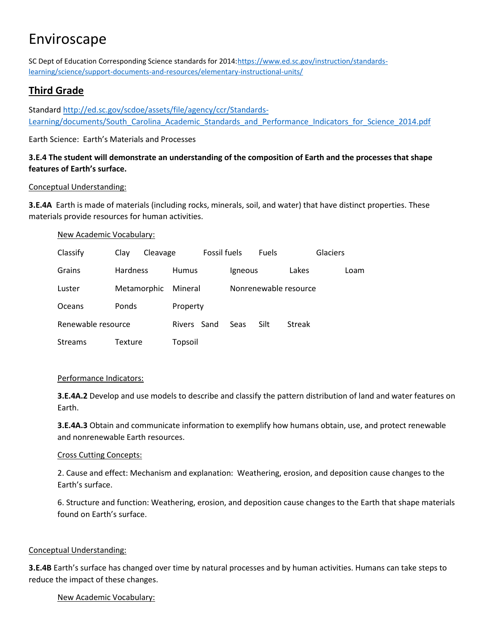SC Dept of Education Corresponding Science standards for 2014[:https://www.ed.sc.gov/instruction/standards](https://www.ed.sc.gov/instruction/standards-learning/science/support-documents-and-resources/elementary-instructional-units/)[learning/science/support-documents-and-resources/elementary-instructional-units/](https://www.ed.sc.gov/instruction/standards-learning/science/support-documents-and-resources/elementary-instructional-units/)

# **Third Grade**

Standard [http://ed.sc.gov/scdoe/assets/file/agency/ccr/Standards-](http://ed.sc.gov/scdoe/assets/file/agency/ccr/Standards-Learning/documents/South_Carolina_Academic_Standards_and_Performance_Indicators_for_Science_2014.pdf)[Learning/documents/South\\_Carolina\\_Academic\\_Standards\\_and\\_Performance\\_Indicators\\_for\\_Science\\_2014.pdf](http://ed.sc.gov/scdoe/assets/file/agency/ccr/Standards-Learning/documents/South_Carolina_Academic_Standards_and_Performance_Indicators_for_Science_2014.pdf)

Earth Science: Earth's Materials and Processes

# **3.E.4 The student will demonstrate an understanding of the composition of Earth and the processes that shape features of Earth's surface.**

## Conceptual Understanding:

**3.E.4A** Earth is made of materials (including rocks, minerals, soil, and water) that have distinct properties. These materials provide resources for human activities.

#### New Academic Vocabulary:

| Classify           | Clay            | Cleavage |              | <b>Fossil fuels</b> |             | <b>Fuels</b> |                       | Glaciers |      |
|--------------------|-----------------|----------|--------------|---------------------|-------------|--------------|-----------------------|----------|------|
| Grains             | <b>Hardness</b> |          | <b>Humus</b> |                     | Igneous     |              | Lakes                 |          | Loam |
| Luster             | Metamorphic     |          | Mineral      |                     |             |              | Nonrenewable resource |          |      |
| <b>Oceans</b>      | Ponds           |          | Property     |                     |             |              |                       |          |      |
| Renewable resource |                 |          | Rivers Sand  |                     | <b>Seas</b> | Silt         | <b>Streak</b>         |          |      |
| <b>Streams</b>     | Texture         |          | Topsoil      |                     |             |              |                       |          |      |

#### Performance Indicators:

**3.E.4A.2** Develop and use models to describe and classify the pattern distribution of land and water features on Earth.

**3.E.4A.3** Obtain and communicate information to exemplify how humans obtain, use, and protect renewable and nonrenewable Earth resources.

#### Cross Cutting Concepts:

2. Cause and effect: Mechanism and explanation: Weathering, erosion, and deposition cause changes to the Earth's surface.

6. Structure and function: Weathering, erosion, and deposition cause changes to the Earth that shape materials found on Earth's surface.

#### Conceptual Understanding:

**3.E.4B** Earth's surface has changed over time by natural processes and by human activities. Humans can take steps to reduce the impact of these changes.

## New Academic Vocabulary: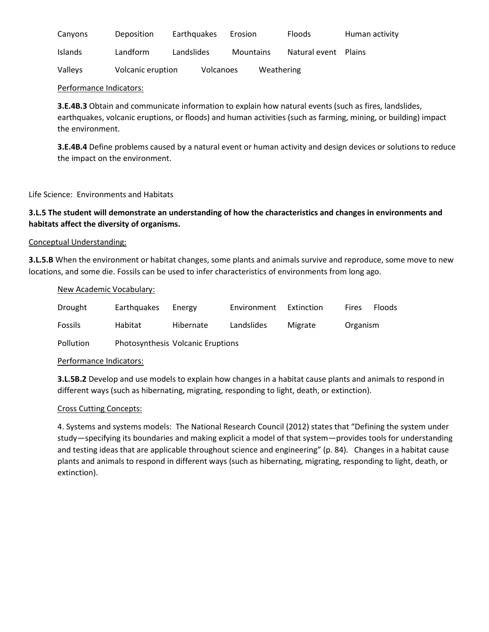| Canyons        | Deposition        | Earthquakes      | Erosion          | <b>Floods</b> | Human activity |
|----------------|-------------------|------------------|------------------|---------------|----------------|
| <b>Islands</b> | Landform          | Landslides       | <b>Mountains</b> | Natural event | <b>Plains</b>  |
| Valleys        | Volcanic eruption | <b>Volcanoes</b> | Weathering       |               |                |

Performance Indicators:

**3.E.4B.3** Obtain and communicate information to explain how natural events (such as fires, landslides, earthquakes, volcanic eruptions, or floods) and human activities (such as farming, mining, or building) impact the environment.

**3.E.4B.4** Define problems caused by a natural event or human activity and design devices or solutions to reduce the impact on the environment.

Life Science: Environments and Habitats

## **3.L.5 The student will demonstrate an understanding of how the characteristics and changes in environments and habitats affect the diversity of organisms.**

#### Conceptual Understanding:

**3.L.5.B** When the environment or habitat changes, some plants and animals survive and reproduce, some move to new locations, and some die. Fossils can be used to infer characteristics of environments from long ago.

| New Academic Vocabulary: |
|--------------------------|
|--------------------------|

| Drought        | Earthquakes                       | Energy    | Environment | Extinction | <b>Fires</b> | <b>Floods</b> |
|----------------|-----------------------------------|-----------|-------------|------------|--------------|---------------|
| <b>Fossils</b> | Habitat                           | Hibernate | Landslides  | Migrate    | Organism     |               |
| Pollution      | Photosynthesis Volcanic Eruptions |           |             |            |              |               |

#### Performance Indicators:

**3.L.5B.2** Develop and use models to explain how changes in a habitat cause plants and animals to respond in different ways (such as hibernating, migrating, responding to light, death, or extinction).

#### Cross Cutting Concepts:

4. Systems and systems models: The National Research Council (2012) states that "Defining the system under study—specifying its boundaries and making explicit a model of that system—provides tools for understanding and testing ideas that are applicable throughout science and engineering" (p. 84). Changes in a habitat cause plants and animals to respond in different ways (such as hibernating, migrating, responding to light, death, or extinction).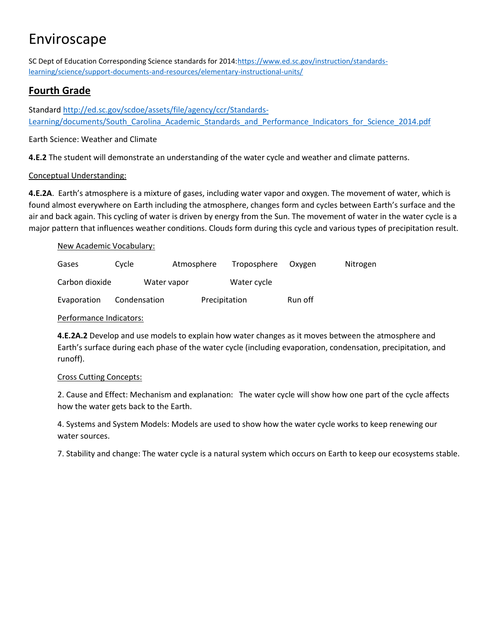SC Dept of Education Corresponding Science standards for 2014[:https://www.ed.sc.gov/instruction/standards](https://www.ed.sc.gov/instruction/standards-learning/science/support-documents-and-resources/elementary-instructional-units/)[learning/science/support-documents-and-resources/elementary-instructional-units/](https://www.ed.sc.gov/instruction/standards-learning/science/support-documents-and-resources/elementary-instructional-units/)

# **Fourth Grade**

Standard [http://ed.sc.gov/scdoe/assets/file/agency/ccr/Standards-](http://ed.sc.gov/scdoe/assets/file/agency/ccr/Standards-Learning/documents/South_Carolina_Academic_Standards_and_Performance_Indicators_for_Science_2014.pdf)[Learning/documents/South\\_Carolina\\_Academic\\_Standards\\_and\\_Performance\\_Indicators\\_for\\_Science\\_2014.pdf](http://ed.sc.gov/scdoe/assets/file/agency/ccr/Standards-Learning/documents/South_Carolina_Academic_Standards_and_Performance_Indicators_for_Science_2014.pdf)

Earth Science: Weather and Climate

**4.E.2** The student will demonstrate an understanding of the water cycle and weather and climate patterns.

# Conceptual Understanding:

**4.E.2A**. Earth's atmosphere is a mixture of gases, including water vapor and oxygen. The movement of water, which is found almost everywhere on Earth including the atmosphere, changes form and cycles between Earth's surface and the air and back again. This cycling of water is driven by energy from the Sun. The movement of water in the water cycle is a major pattern that influences weather conditions. Clouds form during this cycle and various types of precipitation result.

## New Academic Vocabulary:

| Gases          | Cycle        | Atmosphere    | Troposphere | Oxvgen  | Nitrogen |
|----------------|--------------|---------------|-------------|---------|----------|
| Carbon dioxide | Water vapor  |               | Water cycle |         |          |
| Evaporation    | Condensation | Precipitation |             | Run off |          |

#### Performance Indicators:

**4.E.2A.2** Develop and use models to explain how water changes as it moves between the atmosphere and Earth's surface during each phase of the water cycle (including evaporation, condensation, precipitation, and runoff).

## Cross Cutting Concepts:

2. Cause and Effect: Mechanism and explanation: The water cycle will show how one part of the cycle affects how the water gets back to the Earth.

4. Systems and System Models: Models are used to show how the water cycle works to keep renewing our water sources.

7. Stability and change: The water cycle is a natural system which occurs on Earth to keep our ecosystems stable.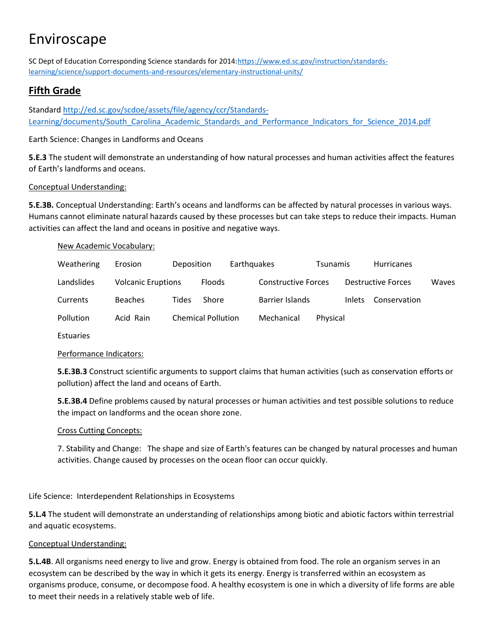SC Dept of Education Corresponding Science standards for 2014[:https://www.ed.sc.gov/instruction/standards](https://www.ed.sc.gov/instruction/standards-learning/science/support-documents-and-resources/elementary-instructional-units/)[learning/science/support-documents-and-resources/elementary-instructional-units/](https://www.ed.sc.gov/instruction/standards-learning/science/support-documents-and-resources/elementary-instructional-units/)

# **Fifth Grade**

Standard [http://ed.sc.gov/scdoe/assets/file/agency/ccr/Standards-](http://ed.sc.gov/scdoe/assets/file/agency/ccr/Standards-Learning/documents/South_Carolina_Academic_Standards_and_Performance_Indicators_for_Science_2014.pdf)[Learning/documents/South\\_Carolina\\_Academic\\_Standards\\_and\\_Performance\\_Indicators\\_for\\_Science\\_2014.pdf](http://ed.sc.gov/scdoe/assets/file/agency/ccr/Standards-Learning/documents/South_Carolina_Academic_Standards_and_Performance_Indicators_for_Science_2014.pdf)

Earth Science: Changes in Landforms and Oceans

**5.E.3** The student will demonstrate an understanding of how natural processes and human activities affect the features of Earth's landforms and oceans.

## Conceptual Understanding:

**5.E.3B.** Conceptual Understanding: Earth's oceans and landforms can be affected by natural processes in various ways. Humans cannot eliminate natural hazards caused by these processes but can take steps to reduce their impacts. Human activities can affect the land and oceans in positive and negative ways.

#### New Academic Vocabulary:

| Weathering | Erosion                   | Deposition |                           | <b>Earthquakes</b> |                            | <b>Tsunamis</b> |               | <b>Hurricanes</b>         |       |
|------------|---------------------------|------------|---------------------------|--------------------|----------------------------|-----------------|---------------|---------------------------|-------|
| Landslides | <b>Volcanic Eruptions</b> |            | <b>Floods</b>             |                    | <b>Constructive Forces</b> |                 |               | <b>Destructive Forces</b> | Waves |
| Currents   | <b>Beaches</b>            | Tides      | Shore                     |                    | Barrier Islands            |                 | <b>Inlets</b> | Conservation              |       |
| Pollution  | Acid Rain                 |            | <b>Chemical Pollution</b> |                    | Mechanical                 | Physical        |               |                           |       |

Estuaries

## Performance Indicators:

**5.E.3B.3** Construct scientific arguments to support claims that human activities (such as conservation efforts or pollution) affect the land and oceans of Earth.

**5.E.3B.4** Define problems caused by natural processes or human activities and test possible solutions to reduce the impact on landforms and the ocean shore zone.

## Cross Cutting Concepts:

7. Stability and Change: The shape and size of Earth's features can be changed by natural processes and human activities. Change caused by processes on the ocean floor can occur quickly.

Life Science: Interdependent Relationships in Ecosystems

**5.L.4** The student will demonstrate an understanding of relationships among biotic and abiotic factors within terrestrial and aquatic ecosystems.

## Conceptual Understanding:

**5.L.4B**. All organisms need energy to live and grow. Energy is obtained from food. The role an organism serves in an ecosystem can be described by the way in which it gets its energy. Energy is transferred within an ecosystem as organisms produce, consume, or decompose food. A healthy ecosystem is one in which a diversity of life forms are able to meet their needs in a relatively stable web of life.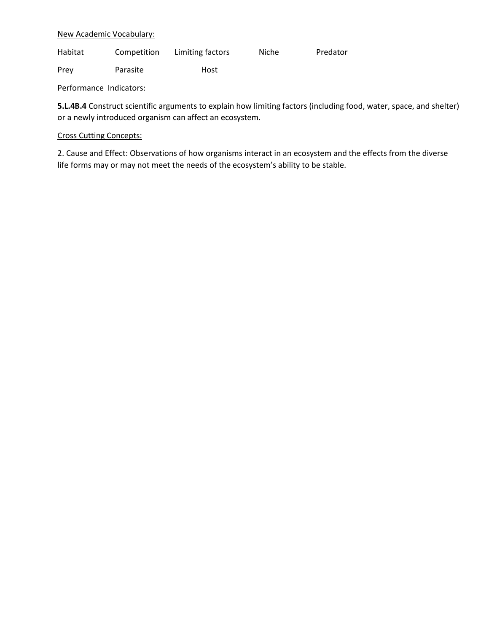#### New Academic Vocabulary:

| Habitat | Competition | Limiting factors | Niche | Predator |
|---------|-------------|------------------|-------|----------|
|---------|-------------|------------------|-------|----------|

Prey Parasite Host

Performance Indicators:

**5.L.4B.4** Construct scientific arguments to explain how limiting factors (including food, water, space, and shelter) or a newly introduced organism can affect an ecosystem.

#### Cross Cutting Concepts:

2. Cause and Effect: Observations of how organisms interact in an ecosystem and the effects from the diverse life forms may or may not meet the needs of the ecosystem's ability to be stable.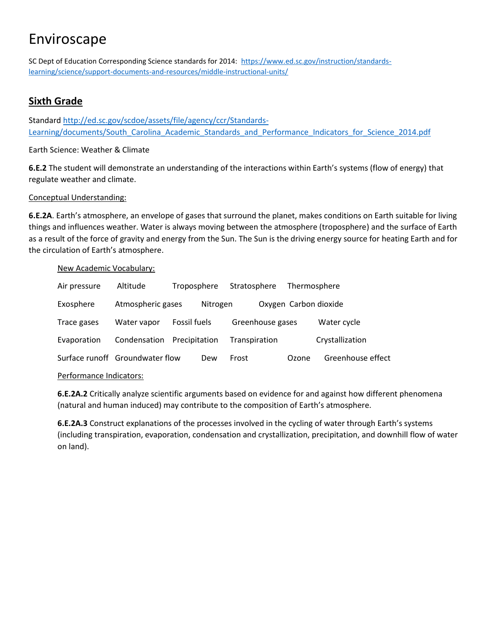SC Dept of Education Corresponding Science standards for 2014: [https://www.ed.sc.gov/instruction/standards](https://www.ed.sc.gov/instruction/standards-learning/science/support-documents-and-resources/middle-instructional-units/)[learning/science/support-documents-and-resources/middle-instructional-units/](https://www.ed.sc.gov/instruction/standards-learning/science/support-documents-and-resources/middle-instructional-units/)

# **Sixth Grade**

Standard [http://ed.sc.gov/scdoe/assets/file/agency/ccr/Standards-](http://ed.sc.gov/scdoe/assets/file/agency/ccr/Standards-Learning/documents/South_Carolina_Academic_Standards_and_Performance_Indicators_for_Science_2014.pdf)[Learning/documents/South\\_Carolina\\_Academic\\_Standards\\_and\\_Performance\\_Indicators\\_for\\_Science\\_2014.pdf](http://ed.sc.gov/scdoe/assets/file/agency/ccr/Standards-Learning/documents/South_Carolina_Academic_Standards_and_Performance_Indicators_for_Science_2014.pdf)

## Earth Science: Weather & Climate

**6.E.2** The student will demonstrate an understanding of the interactions within Earth's systems (flow of energy) that regulate weather and climate.

## Conceptual Understanding:

**6.E.2A**. Earth's atmosphere, an envelope of gases that surround the planet, makes conditions on Earth suitable for living things and influences weather. Water is always moving between the atmosphere (troposphere) and the surface of Earth as a result of the force of gravity and energy from the Sun. The Sun is the driving energy source for heating Earth and for the circulation of Earth's atmosphere.

#### New Academic Vocabulary:

| Air pressure             | Altitude                        | Troposphere   |          | Stratosphere  |                  | Thermosphere          |                   |
|--------------------------|---------------------------------|---------------|----------|---------------|------------------|-----------------------|-------------------|
| Exosphere                | Atmospheric gases               |               | Nitrogen |               |                  | Oxygen Carbon dioxide |                   |
| Trace gases              | Water vapor                     | Fossil fuels  |          |               | Greenhouse gases |                       | Water cycle       |
| Evaporation              | Condensation                    | Precipitation |          | Transpiration |                  |                       | Crystallization   |
|                          | Surface runoff Groundwater flow |               | Dew      | Frost         |                  | Ozone                 | Greenhouse effect |
| Dorformanneo Indicatores |                                 |               |          |               |                  |                       |                   |

Performance Indicators:

**6.E.2A.2** Critically analyze scientific arguments based on evidence for and against how different phenomena (natural and human induced) may contribute to the composition of Earth's atmosphere.

**6.E.2A.3** Construct explanations of the processes involved in the cycling of water through Earth's systems (including transpiration, evaporation, condensation and crystallization, precipitation, and downhill flow of water on land).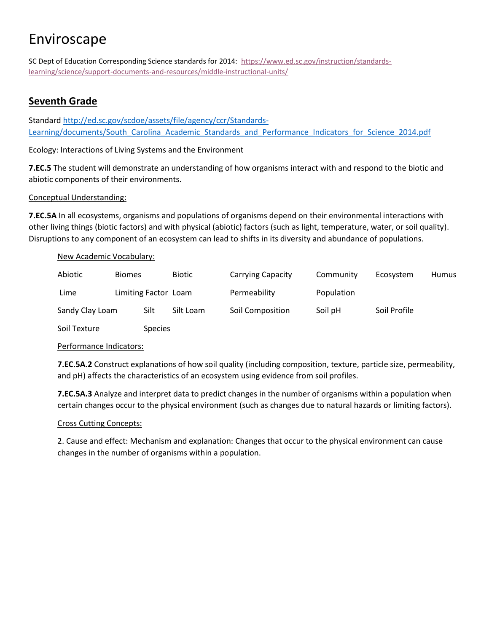SC Dept of Education Corresponding Science standards for 2014: [https://www.ed.sc.gov/instruction/standards](https://www.ed.sc.gov/instruction/standards-learning/science/support-documents-and-resources/middle-instructional-units/)[learning/science/support-documents-and-resources/middle-instructional-units/](https://www.ed.sc.gov/instruction/standards-learning/science/support-documents-and-resources/middle-instructional-units/)

# **Seventh Grade**

Standard [http://ed.sc.gov/scdoe/assets/file/agency/ccr/Standards-](http://ed.sc.gov/scdoe/assets/file/agency/ccr/Standards-Learning/documents/South_Carolina_Academic_Standards_and_Performance_Indicators_for_Science_2014.pdf)[Learning/documents/South\\_Carolina\\_Academic\\_Standards\\_and\\_Performance\\_Indicators\\_for\\_Science\\_2014.pdf](http://ed.sc.gov/scdoe/assets/file/agency/ccr/Standards-Learning/documents/South_Carolina_Academic_Standards_and_Performance_Indicators_for_Science_2014.pdf)

Ecology: Interactions of Living Systems and the Environment

**7.EC.5** The student will demonstrate an understanding of how organisms interact with and respond to the biotic and abiotic components of their environments.

## Conceptual Understanding:

**7.EC.5A** In all ecosystems, organisms and populations of organisms depend on their environmental interactions with other living things (biotic factors) and with physical (abiotic) factors (such as light, temperature, water, or soil quality). Disruptions to any component of an ecosystem can lead to shifts in its diversity and abundance of populations.

## New Academic Vocabulary:

| Abiotic         | <b>Biomes</b> |                      | <b>Biotic</b> | <b>Carrying Capacity</b> | Community  | Ecosystem    | Humus |
|-----------------|---------------|----------------------|---------------|--------------------------|------------|--------------|-------|
| Lime            |               | Limiting Factor Loam |               | Permeability             | Population |              |       |
| Sandy Clay Loam |               | Silt                 | Silt Loam     | Soil Composition         | Soil pH    | Soil Profile |       |
| Soil Texture    |               | <b>Species</b>       |               |                          |            |              |       |

#### Performance Indicators:

**7.EC.5A.2** Construct explanations of how soil quality (including composition, texture, particle size, permeability, and pH) affects the characteristics of an ecosystem using evidence from soil profiles.

**7.EC.5A.3** Analyze and interpret data to predict changes in the number of organisms within a population when certain changes occur to the physical environment (such as changes due to natural hazards or limiting factors).

## Cross Cutting Concepts:

2. Cause and effect: Mechanism and explanation: Changes that occur to the physical environment can cause changes in the number of organisms within a population.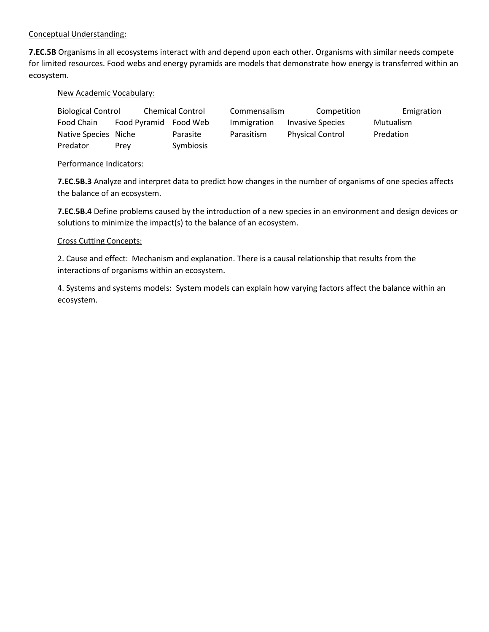#### Conceptual Understanding:

**7.EC.5B** Organisms in all ecosystems interact with and depend upon each other. Organisms with similar needs compete for limited resources. Food webs and energy pyramids are models that demonstrate how energy is transferred within an ecosystem.

#### New Academic Vocabulary:

| <b>Biological Control</b> |              | <b>Chemical Control</b> | Commensalism | Competition             | Emigration |
|---------------------------|--------------|-------------------------|--------------|-------------------------|------------|
| Food Chain                | Food Pyramid | Food Web                | Immigration  | Invasive Species        | Mutualism  |
| Native Species Niche      |              | Parasite                | Parasitism   | <b>Physical Control</b> | Predation  |
| Predator                  | Prev         | Symbiosis               |              |                         |            |

#### Performance Indicators:

**7.EC.5B.3** Analyze and interpret data to predict how changes in the number of organisms of one species affects the balance of an ecosystem.

**7.EC.5B.4** Define problems caused by the introduction of a new species in an environment and design devices or solutions to minimize the impact(s) to the balance of an ecosystem.

#### Cross Cutting Concepts:

2. Cause and effect: Mechanism and explanation. There is a causal relationship that results from the interactions of organisms within an ecosystem.

4. Systems and systems models: System models can explain how varying factors affect the balance within an ecosystem.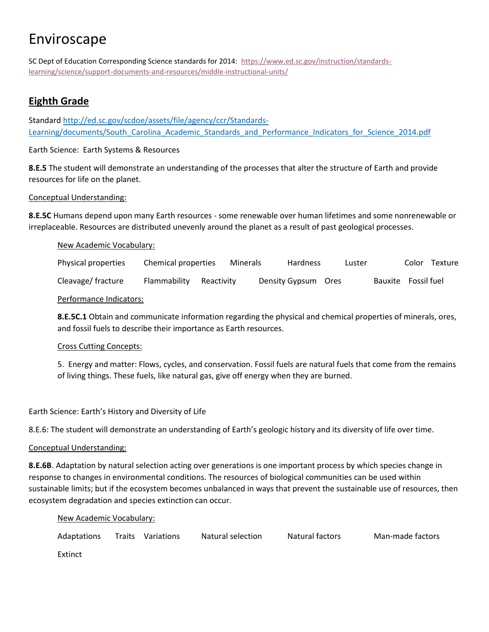SC Dept of Education Corresponding Science standards for 2014: [https://www.ed.sc.gov/instruction/standards](https://www.ed.sc.gov/instruction/standards-learning/science/support-documents-and-resources/middle-instructional-units/)[learning/science/support-documents-and-resources/middle-instructional-units/](https://www.ed.sc.gov/instruction/standards-learning/science/support-documents-and-resources/middle-instructional-units/)

# **Eighth Grade**

Standard [http://ed.sc.gov/scdoe/assets/file/agency/ccr/Standards-](http://ed.sc.gov/scdoe/assets/file/agency/ccr/Standards-Learning/documents/South_Carolina_Academic_Standards_and_Performance_Indicators_for_Science_2014.pdf)[Learning/documents/South\\_Carolina\\_Academic\\_Standards\\_and\\_Performance\\_Indicators\\_for\\_Science\\_2014.pdf](http://ed.sc.gov/scdoe/assets/file/agency/ccr/Standards-Learning/documents/South_Carolina_Academic_Standards_and_Performance_Indicators_for_Science_2014.pdf)

Earth Science: Earth Systems & Resources

**8.E.5** The student will demonstrate an understanding of the processes that alter the structure of Earth and provide resources for life on the planet.

#### Conceptual Understanding:

**8.E.5C** Humans depend upon many Earth resources - some renewable over human lifetimes and some nonrenewable or irreplaceable. Resources are distributed unevenly around the planet as a result of past geological processes.

#### New Academic Vocabulary:

Physical properties Chemical properties Minerals Hardness Luster Color Texture Cleavage/ fracture Flammability Reactivity Density Gypsum Ores Bauxite Fossil fuel

#### Performance Indicators:

**8.E.5C.1** Obtain and communicate information regarding the physical and chemical properties of minerals, ores, and fossil fuels to describe their importance as Earth resources.

#### Cross Cutting Concepts:

5. Energy and matter: Flows, cycles, and conservation. Fossil fuels are natural fuels that come from the remains of living things. These fuels, like natural gas, give off energy when they are burned.

Earth Science: Earth's History and Diversity of Life

8.E.6: The student will demonstrate an understanding of Earth's geologic history and its diversity of life over time.

#### Conceptual Understanding:

**8.E.6B**. Adaptation by natural selection acting over generations is one important process by which species change in response to changes in environmental conditions. The resources of biological communities can be used within sustainable limits; but if the ecosystem becomes unbalanced in ways that prevent the sustainable use of resources, then ecosystem degradation and species extinction can occur.

#### New Academic Vocabulary:

| Adaptations | Traits Variations | Natural selection | Natural factors | Man-made factors |
|-------------|-------------------|-------------------|-----------------|------------------|
| Extinct     |                   |                   |                 |                  |